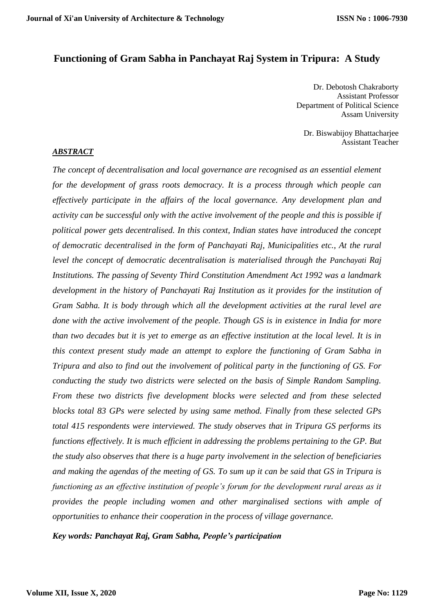# **Functioning of Gram Sabha in Panchayat Raj System in Tripura: A Study**

Dr. Debotosh Chakraborty Assistant Professor Department of Political Science Assam University

Dr. Biswabijoy Bhattacharjee Assistant Teacher

#### *ABSTRACT*

*The concept of decentralisation and local governance are recognised as an essential element for the development of grass roots democracy. It is a process through which people can effectively participate in the affairs of the local governance. Any development plan and activity can be successful only with the active involvement of the people and this is possible if political power gets decentralised. In this context, Indian states have introduced the concept of democratic decentralised in the form of Panchayati Raj, Municipalities etc., At the rural level the concept of democratic decentralisation is materialised through the Panchayati Raj Institutions. The passing of Seventy Third Constitution Amendment Act 1992 was a landmark development in the history of Panchayati Raj Institution as it provides for the institution of Gram Sabha. It is body through which all the development activities at the rural level are done with the active involvement of the people. Though GS is in existence in India for more than two decades but it is yet to emerge as an effective institution at the local level. It is in this context present study made an attempt to explore the functioning of Gram Sabha in Tripura and also to find out the involvement of political party in the functioning of GS. For conducting the study two districts were selected on the basis of Simple Random Sampling. From these two districts five development blocks were selected and from these selected blocks total 83 GPs were selected by using same method. Finally from these selected GPs total 415 respondents were interviewed. The study observes that in Tripura GS performs its functions effectively. It is much efficient in addressing the problems pertaining to the GP. But the study also observes that there is a huge party involvement in the selection of beneficiaries and making the agendas of the meeting of GS. To sum up it can be said that GS in Tripura is functioning as an effective institution of people's forum for the development rural areas as it provides the people including women and other marginalised sections with ample of opportunities to enhance their cooperation in the process of village governance.*

*Key words: Panchayat Raj, Gram Sabha, People's participation*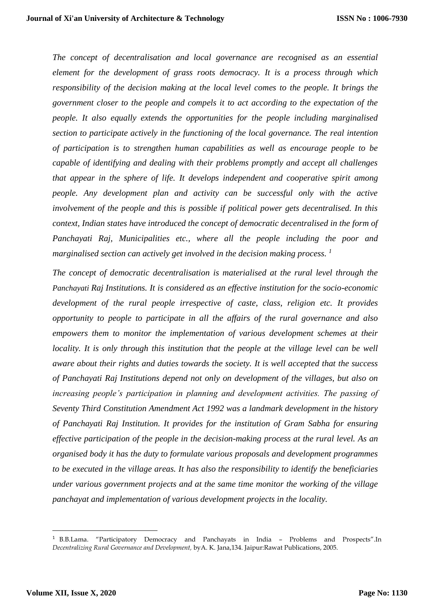*The concept of decentralisation and local governance are recognised as an essential element for the development of grass roots democracy. It is a process through which responsibility of the decision making at the local level comes to the people. It brings the government closer to the people and compels it to act according to the expectation of the people. It also equally extends the opportunities for the people including marginalised section to participate actively in the functioning of the local governance. The real intention of participation is to strengthen human capabilities as well as encourage people to be capable of identifying and dealing with their problems promptly and accept all challenges that appear in the sphere of life. It develops independent and cooperative spirit among people. Any development plan and activity can be successful only with the active involvement of the people and this is possible if political power gets decentralised. In this context, Indian states have introduced the concept of democratic decentralised in the form of Panchayati Raj, Municipalities etc., where all the people including the poor and marginalised section can actively get involved in the decision making process. 1*

*The concept of democratic decentralisation is materialised at the rural level through the Panchayati Raj Institutions. It is considered as an effective institution for the socio-economic development of the rural people irrespective of caste, class, religion etc. It provides opportunity to people to participate in all the affairs of the rural governance and also empowers them to monitor the implementation of various development schemes at their locality. It is only through this institution that the people at the village level can be well aware about their rights and duties towards the society. It is well accepted that the success of Panchayati Raj Institutions depend not only on development of the villages, but also on increasing people's participation in planning and development activities. The passing of Seventy Third Constitution Amendment Act 1992 was a landmark development in the history of Panchayati Raj Institution. It provides for the institution of Gram Sabha for ensuring effective participation of the people in the decision-making process at the rural level. As an organised body it has the duty to formulate various proposals and development programmes to be executed in the village areas. It has also the responsibility to identify the beneficiaries under various government projects and at the same time monitor the working of the village panchayat and implementation of various development projects in the locality.* 

1

<sup>1</sup> B.B.Lama. "Participatory Democracy and Panchayats in India – Problems and Prospects".In *Decentralizing Rural Governance and Development,* byA. K. Jana,134. Jaipur:Rawat Publications, 2005.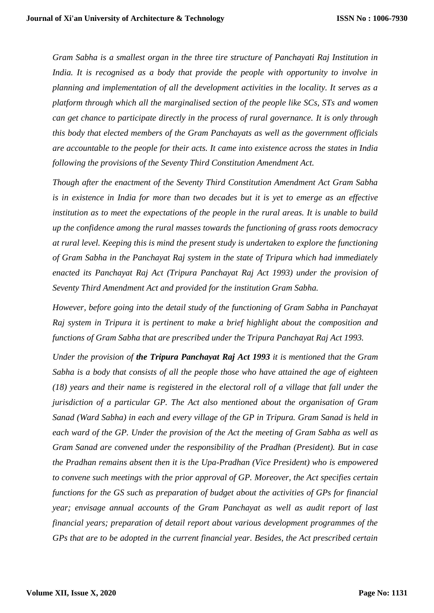*Gram Sabha is a smallest organ in the three tire structure of Panchayati Raj Institution in India. It is recognised as a body that provide the people with opportunity to involve in planning and implementation of all the development activities in the locality. It serves as a platform through which all the marginalised section of the people like SCs, STs and women can get chance to participate directly in the process of rural governance. It is only through this body that elected members of the Gram Panchayats as well as the government officials are accountable to the people for their acts. It came into existence across the states in India following the provisions of the Seventy Third Constitution Amendment Act.*

*Though after the enactment of the Seventy Third Constitution Amendment Act Gram Sabha is in existence in India for more than two decades but it is yet to emerge as an effective institution as to meet the expectations of the people in the rural areas. It is unable to build up the confidence among the rural masses towards the functioning of grass roots democracy at rural level. Keeping this is mind the present study is undertaken to explore the functioning of Gram Sabha in the Panchayat Raj system in the state of Tripura which had immediately enacted its Panchayat Raj Act (Tripura Panchayat Raj Act 1993) under the provision of Seventy Third Amendment Act and provided for the institution Gram Sabha.* 

*However, before going into the detail study of the functioning of Gram Sabha in Panchayat Raj system in Tripura it is pertinent to make a brief highlight about the composition and functions of Gram Sabha that are prescribed under the Tripura Panchayat Raj Act 1993.* 

*Under the provision of the Tripura Panchayat Raj Act 1993 it is mentioned that the Gram Sabha is a body that consists of all the people those who have attained the age of eighteen (18) years and their name is registered in the electoral roll of a village that fall under the jurisdiction of a particular GP. The Act also mentioned about the organisation of Gram Sanad (Ward Sabha) in each and every village of the GP in Tripura. Gram Sanad is held in each ward of the GP. Under the provision of the Act the meeting of Gram Sabha as well as Gram Sanad are convened under the responsibility of the Pradhan (President). But in case the Pradhan remains absent then it is the Upa-Pradhan (Vice President) who is empowered to convene such meetings with the prior approval of GP. Moreover, the Act specifies certain functions for the GS such as preparation of budget about the activities of GPs for financial year; envisage annual accounts of the Gram Panchayat as well as audit report of last financial years; preparation of detail report about various development programmes of the GPs that are to be adopted in the current financial year. Besides, the Act prescribed certain*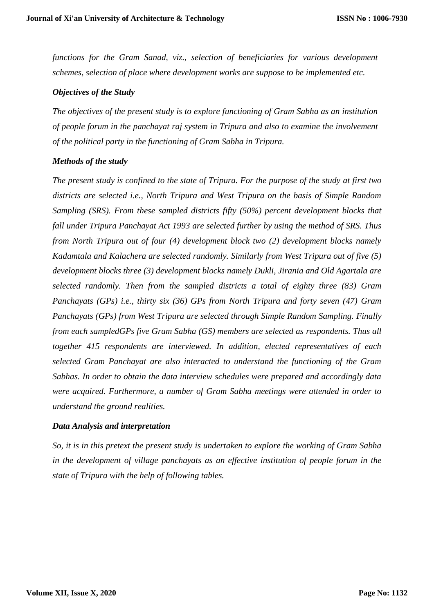*functions for the Gram Sanad, viz., selection of beneficiaries for various development schemes, selection of place where development works are suppose to be implemented etc.*

## *Objectives of the Study*

*The objectives of the present study is to explore functioning of Gram Sabha as an institution of people forum in the panchayat raj system in Tripura and also to examine the involvement of the political party in the functioning of Gram Sabha in Tripura.* 

### *Methods of the study*

*The present study is confined to the state of Tripura. For the purpose of the study at first two districts are selected i.e., North Tripura and West Tripura on the basis of Simple Random Sampling (SRS). From these sampled districts fifty (50%) percent development blocks that fall under Tripura Panchayat Act 1993 are selected further by using the method of SRS. Thus from North Tripura out of four (4) development block two (2) development blocks namely Kadamtala and Kalachera are selected randomly. Similarly from West Tripura out of five (5) development blocks three (3) development blocks namely Dukli, Jirania and Old Agartala are selected randomly. Then from the sampled districts a total of eighty three (83) Gram Panchayats (GPs) i.e., thirty six (36) GPs from North Tripura and forty seven (47) Gram Panchayats (GPs) from West Tripura are selected through Simple Random Sampling. Finally from each sampledGPs five Gram Sabha (GS) members are selected as respondents. Thus all together 415 respondents are interviewed. In addition, elected representatives of each selected Gram Panchayat are also interacted to understand the functioning of the Gram Sabhas. In order to obtain the data interview schedules were prepared and accordingly data were acquired. Furthermore, a number of Gram Sabha meetings were attended in order to understand the ground realities.*

# *Data Analysis and interpretation*

*So, it is in this pretext the present study is undertaken to explore the working of Gram Sabha in the development of village panchayats as an effective institution of people forum in the state of Tripura with the help of following tables.*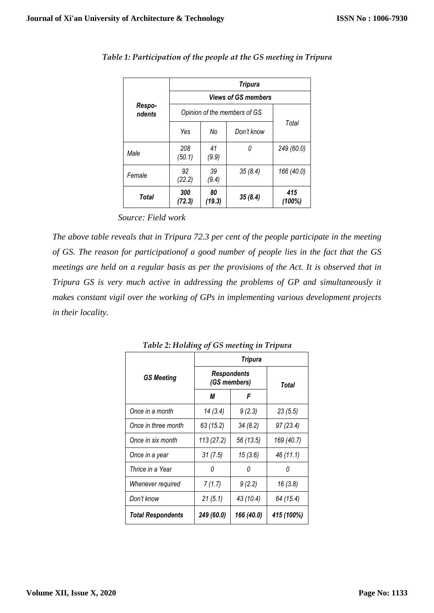|                  | <b>Tripura</b>               |                         |         |               |  |  |  |
|------------------|------------------------------|-------------------------|---------|---------------|--|--|--|
| Respo-<br>ndents | <b>Views of GS members</b>   |                         |         |               |  |  |  |
|                  | Opinion of the members of GS |                         |         |               |  |  |  |
|                  | Yes                          | No<br>Don't know        |         | Total         |  |  |  |
| Male             | 208<br>(50.1)                | 41<br>(9.9)             | 0       | 249 (60.0)    |  |  |  |
| Female           | 92<br>(22.2)                 | 39<br>(9.4)             | 35(8.4) | 166 (40.0)    |  |  |  |
| Total            | 300<br>(72.3)                | 80<br>35(8.4)<br>(19.3) |         | 415<br>(100%) |  |  |  |

*Table 1: Participation of the people at the GS meeting in Tripura* 

 *Source: Field work*

*The above table reveals that in Tripura 72.3 per cent of the people participate in the meeting of GS. The reason for participationof a good number of people lies in the fact that the GS meetings are held on a regular basis as per the provisions of the Act. It is observed that in Tripura GS is very much active in addressing the problems of GP and simultaneously it makes constant vigil over the working of GPs in implementing various development projects in their locality.* 

|                          | Tripura                            |            |            |  |  |  |
|--------------------------|------------------------------------|------------|------------|--|--|--|
| <b>GS Meeting</b>        | <b>Respondents</b><br>(GS members) | Total      |            |  |  |  |
|                          | М                                  | F          |            |  |  |  |
| Once in a month          | 14(3.4)                            | 9(2.3)     | 23(5.5)    |  |  |  |
| Once in three month      | 63(15.2)                           | 34(8.2)    | 97(23.4)   |  |  |  |
| Once in six month        | 113(27.2)                          | 56 (13.5)  | 169 (40.7) |  |  |  |
| Once in a year           | 31(7.5)                            | 15(3.6)    | 46 (11.1)  |  |  |  |
| Thrice in a Year         | 0                                  | 0          | O          |  |  |  |
| Whenever required        | 7(1.7)                             | 9(2.2)     | 16(3.8)    |  |  |  |
| Don't know               | 21(5.1)                            | 43 (10.4)  | 64 (15.4)  |  |  |  |
| <b>Total Respondents</b> | 249 (60.0)                         | 166 (40.0) | 415 (100%) |  |  |  |

*Table 2: Holding of GS meeting in Tripura*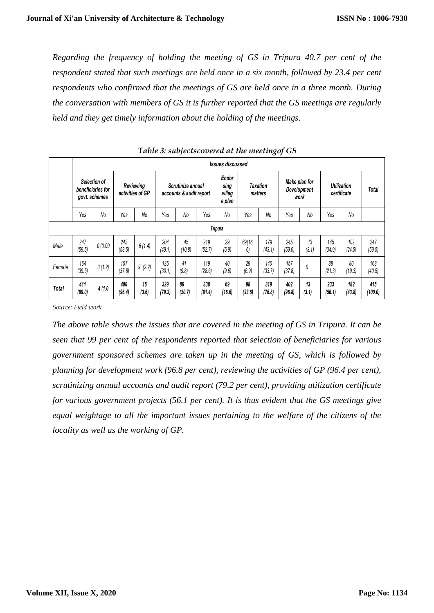*Regarding the frequency of holding the meeting of GS in Tripura 40.7 per cent of the respondent stated that such meetings are held once in a six month, followed by 23.4 per cent respondents who confirmed that the meetings of GS are held once in a three month. During the conversation with members of GS it is further reported that the GS meetings are regularly held and they get timely information about the holding of the meetings.*

|        |                                                           | Issues discussed |               |                               |               |                                              |               |                                          |              |                            |               |                                      |                                   |               |                |
|--------|-----------------------------------------------------------|------------------|---------------|-------------------------------|---------------|----------------------------------------------|---------------|------------------------------------------|--------------|----------------------------|---------------|--------------------------------------|-----------------------------------|---------------|----------------|
|        | <b>Selection of</b><br>beneficiaries for<br>govt. schemes |                  |               | Reviewing<br>activities of GP |               | Scrutinize annual<br>accounts & audit report |               | <b>Endor</b><br>sing<br>villag<br>e plan |              | <b>Taxation</b><br>matters |               | Make plan for<br>Development<br>work | <b>Utilization</b><br>certificate |               | Total          |
|        | Yes                                                       | No               | Yes           | No                            | Yes           | No                                           | Yes           | N <sub>0</sub>                           | Yes          | No                         | Yes           | No                                   | Yes                               | No            |                |
|        |                                                           |                  |               |                               |               |                                              |               | <b>Tripura</b>                           |              |                            |               |                                      |                                   |               |                |
| Male   | 247<br>(59.5)                                             | 0(0.00)          | 243<br>(58.5) | 6(1.4)                        | 204<br>(49.1) | 45<br>(10.8)                                 | 219<br>(52.7) | 29<br>(6.9)                              | 69/16.<br>6) | 179<br>(43.1)              | 245<br>(59.0) | 13<br>(3.1)                          | 145<br>(34.9)                     | 102<br>(24.5) | 247<br>(59.5)  |
| Female | 164<br>(39.5)                                             | 3(1.2)           | 157<br>(37.8) | 9(2.2)                        | 125<br>(30.1) | 41<br>(9.8)                                  | 119<br>(28.6) | 40<br>(9.6)                              | 29<br>(6.9)  | 140<br>(33.7)              | 157<br>(37.8) | 0                                    | 88<br>(21.3)                      | 80<br>(19.3)  | 168<br>(40.5)  |
| Total  | 411<br>(99.0)                                             | 4(1.0)           | 400<br>(96.4) | 15<br>(3.6)                   | 329<br>(79.2) | 86<br>(20.7)                                 | 338<br>(81.4) | 69<br>(16.6)                             | 98<br>(23.6) | 319<br>(76.8)              | 402<br>(96.8) | 13<br>(3.1)                          | 233<br>(56.1)                     | 182<br>(43.8) | 415<br>(100.0) |

*Table 3: subjectscovered at the meetingof GS*

*Source: Field work*

*The above table shows the issues that are covered in the meeting of GS in Tripura. It can be seen that 99 per cent of the respondents reported that selection of beneficiaries for various government sponsored schemes are taken up in the meeting of GS, which is followed by planning for development work (96.8 per cent), reviewing the activities of GP (96.4 per cent), scrutinizing annual accounts and audit report (79.2 per cent), providing utilization certificate for various government projects (56.1 per cent). It is thus evident that the GS meetings give equal weightage to all the important issues pertaining to the welfare of the citizens of the locality as well as the working of GP.*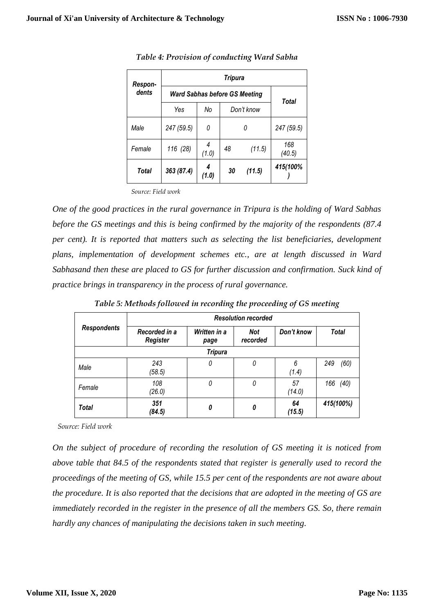| Respon- | <b>Tripura</b>                       |            |              |            |               |  |
|---------|--------------------------------------|------------|--------------|------------|---------------|--|
| dents   | <b>Ward Sabhas before GS Meeting</b> |            |              |            | Total         |  |
|         | Yes                                  | No         |              | Don't know |               |  |
| Male    | 247 (59.5)                           | 0          |              |            | 247 (59.5)    |  |
| Female  | 116 (28)                             | 4<br>(1.0) | 48<br>(11.5) |            | 168<br>(40.5) |  |
| Total   | 363 (87.4)                           | 4<br>(1.0) | 30           | (11.5)     | 415(100%      |  |

*Table 4: Provision of conducting Ward Sabha*

*Source: Field work*

*One of the good practices in the rural governance in Tripura is the holding of Ward Sabhas before the GS meetings and this is being confirmed by the majority of the respondents (87.4 per cent). It is reported that matters such as selecting the list beneficiaries, development plans, implementation of development schemes etc., are at length discussed in Ward Sabhasand then these are placed to GS for further discussion and confirmation. Suck kind of practice brings in transparency in the process of rural governance.* 

|                    | <b>Resolution recorded</b> |                      |                        |              |              |  |  |  |
|--------------------|----------------------------|----------------------|------------------------|--------------|--------------|--|--|--|
| <b>Respondents</b> | Recorded in a<br>Register  | Written in a<br>page | <b>Not</b><br>recorded | Don't know   | <b>Total</b> |  |  |  |
|                    |                            | <b>Tripura</b>       |                        |              |              |  |  |  |
| Male               | 243<br>(58.5)              | 0                    | 0                      | 6<br>(1.4)   | (60)<br>249  |  |  |  |
| Female             | 108<br>(26.0)              | 0                    | 0                      | 57<br>(14.0) | (40)<br>166  |  |  |  |
| <b>Total</b>       | 351<br>(84.5)              | 0                    | 0                      | 64<br>(15.5) | 415(100%)    |  |  |  |

*Table 5: Methods followed in recording the proceeding of GS meeting*

*Source: Field work*

*On the subject of procedure of recording the resolution of GS meeting it is noticed from above table that 84.5 of the respondents stated that register is generally used to record the proceedings of the meeting of GS, while 15.5 per cent of the respondents are not aware about the procedure. It is also reported that the decisions that are adopted in the meeting of GS are immediately recorded in the register in the presence of all the members GS. So, there remain hardly any chances of manipulating the decisions taken in such meeting.*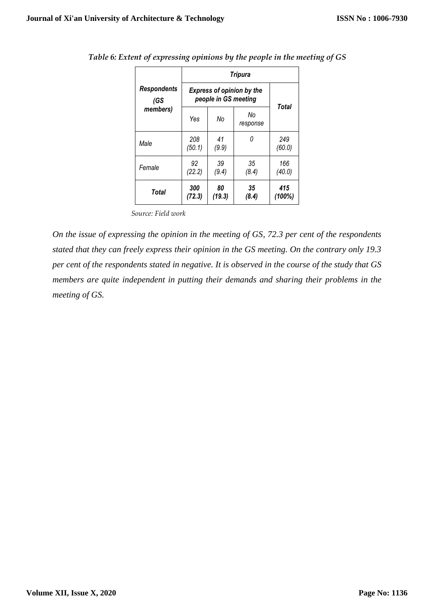|                     | <b>Tripura</b>                                           |              |                |               |  |  |  |
|---------------------|----------------------------------------------------------|--------------|----------------|---------------|--|--|--|
| Respondents<br>(GS) | <b>Express of opinion by the</b><br>people in GS meeting |              |                |               |  |  |  |
| members)            | Yes                                                      | No           | No<br>response | Total         |  |  |  |
| Male                | 208<br>(50.1)                                            | 41<br>(9.9)  | Ω              | 249<br>(60.0) |  |  |  |
| Female              | 92<br>(22.2)                                             | 39<br>(9.4)  | 35<br>(8.4)    | 166<br>(40.0) |  |  |  |
| Total               | 300<br>(72.3)                                            | 80<br>(19.3) | 35<br>(8.4)    | 415<br>(100%) |  |  |  |

*Table 6: Extent of expressing opinions by the people in the meeting of GS*

*Source: Field work*

*On the issue of expressing the opinion in the meeting of GS, 72.3 per cent of the respondents stated that they can freely express their opinion in the GS meeting. On the contrary only 19.3 per cent of the respondents stated in negative. It is observed in the course of the study that GS members are quite independent in putting their demands and sharing their problems in the meeting of GS.*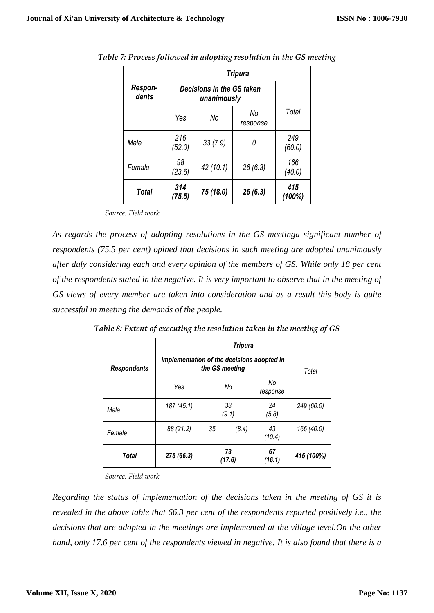|                  | <b>Tripura</b>                           |           |                |               |  |  |  |
|------------------|------------------------------------------|-----------|----------------|---------------|--|--|--|
| Respon-<br>dents | Decisions in the GS taken<br>unanimously |           |                |               |  |  |  |
|                  | Yes                                      | No        | No<br>response | Total         |  |  |  |
| Male             | 216<br>(52.0)                            | 33(7.9)   | 0              | 249<br>(60.0) |  |  |  |
| Female           | 98<br>(23.6)                             | 42(10.1)  | 26(6.3)        | 166<br>(40.0) |  |  |  |
| Total            | 314<br>(75.5)                            | 75 (18.0) | 26(6.3)        | 415<br>(100%) |  |  |  |

*Table 7: Process followed in adopting resolution in the GS meeting*

*Source: Field work*

*As regards the process of adopting resolutions in the GS meetinga significant number of respondents (75.5 per cent) opined that decisions in such meeting are adopted unanimously after duly considering each and every opinion of the members of GS. While only 18 per cent of the respondents stated in the negative. It is very important to observe that in the meeting of GS views of every member are taken into consideration and as a result this body is quite successful in meeting the demands of the people.*

|                    | <b>Tripura</b>                                               |              |  |                |            |  |  |
|--------------------|--------------------------------------------------------------|--------------|--|----------------|------------|--|--|
| <b>Respondents</b> | Implementation of the decisions adopted in<br>the GS meeting | Total        |  |                |            |  |  |
|                    | Yes                                                          | No           |  | No<br>response |            |  |  |
| Male               | 187 (45.1)                                                   | 38<br>(9.1)  |  | 24<br>(5.8)    | 249 (60.0) |  |  |
| Female             | 88 (21.2)                                                    | 35<br>(8.4)  |  | 43<br>(10.4)   | 166 (40.0) |  |  |
| Total              | 275 (66.3)                                                   | 73<br>(17.6) |  | 67<br>(16.1)   | 415 (100%) |  |  |

*Table 8: Extent of executing the resolution taken in the meeting of GS*

*Source: Field work*

*Regarding the status of implementation of the decisions taken in the meeting of GS it is revealed in the above table that 66.3 per cent of the respondents reported positively i.e., the decisions that are adopted in the meetings are implemented at the village level.On the other hand, only 17.6 per cent of the respondents viewed in negative. It is also found that there is a*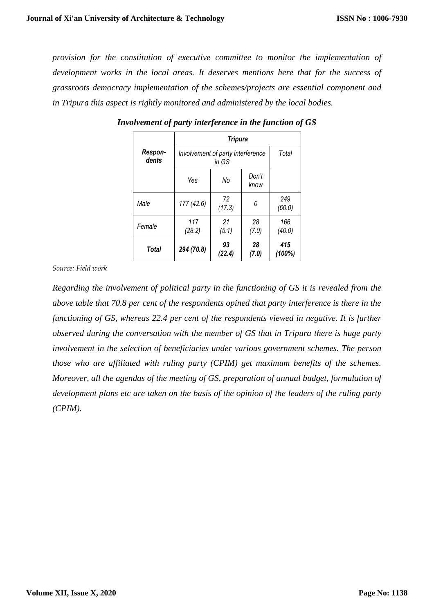*provision for the constitution of executive committee to monitor the implementation of development works in the local areas. It deserves mentions here that for the success of grassroots democracy implementation of the schemes/projects are essential component and in Tripura this aspect is rightly monitored and administered by the local bodies.*

|                  | <b>Tripura</b>                    |              |               |               |  |  |  |
|------------------|-----------------------------------|--------------|---------------|---------------|--|--|--|
| Respon-<br>dents | Involvement of party interference | Total        |               |               |  |  |  |
|                  | Yes                               | No           | Don't<br>know |               |  |  |  |
| Male             | 177 (42.6)                        | 72<br>(17.3) | 0             | 249<br>(60.0) |  |  |  |
| Female           | 117<br>(28.2)                     | 21<br>(5.1)  | 28<br>(7.0)   | 166<br>(40.0) |  |  |  |
| Total            | 294 (70.8)                        | 93<br>(22.4) | 28<br>(7.0)   | 415<br>(100%) |  |  |  |

*Involvement of party interference in the function of GS*

*Source: Field work*

*Regarding the involvement of political party in the functioning of GS it is revealed from the above table that 70.8 per cent of the respondents opined that party interference is there in the functioning of GS, whereas 22.4 per cent of the respondents viewed in negative. It is further observed during the conversation with the member of GS that in Tripura there is huge party involvement in the selection of beneficiaries under various government schemes. The person those who are affiliated with ruling party (CPIM) get maximum benefits of the schemes. Moreover, all the agendas of the meeting of GS, preparation of annual budget, formulation of development plans etc are taken on the basis of the opinion of the leaders of the ruling party (CPIM).*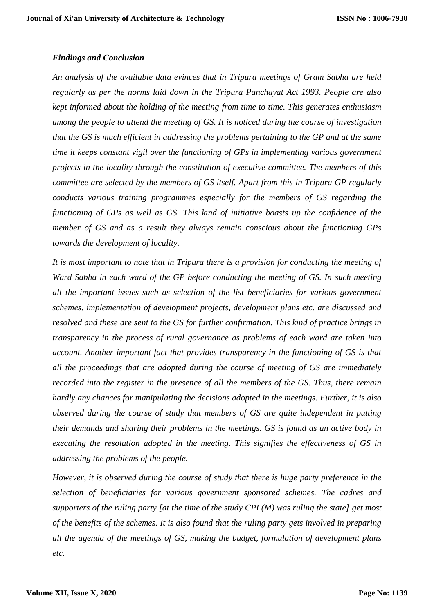#### *Findings and Conclusion*

*An analysis of the available data evinces that in Tripura meetings of Gram Sabha are held regularly as per the norms laid down in the Tripura Panchayat Act 1993. People are also kept informed about the holding of the meeting from time to time. This generates enthusiasm among the people to attend the meeting of GS. It is noticed during the course of investigation that the GS is much efficient in addressing the problems pertaining to the GP and at the same time it keeps constant vigil over the functioning of GPs in implementing various government projects in the locality through the constitution of executive committee. The members of this committee are selected by the members of GS itself. Apart from this in Tripura GP regularly conducts various training programmes especially for the members of GS regarding the functioning of GPs as well as GS. This kind of initiative boasts up the confidence of the member of GS and as a result they always remain conscious about the functioning GPs towards the development of locality.* 

*It is most important to note that in Tripura there is a provision for conducting the meeting of Ward Sabha in each ward of the GP before conducting the meeting of GS. In such meeting all the important issues such as selection of the list beneficiaries for various government schemes, implementation of development projects, development plans etc. are discussed and resolved and these are sent to the GS for further confirmation. This kind of practice brings in transparency in the process of rural governance as problems of each ward are taken into account. Another important fact that provides transparency in the functioning of GS is that all the proceedings that are adopted during the course of meeting of GS are immediately recorded into the register in the presence of all the members of the GS. Thus, there remain hardly any chances for manipulating the decisions adopted in the meetings. Further, it is also observed during the course of study that members of GS are quite independent in putting their demands and sharing their problems in the meetings. GS is found as an active body in executing the resolution adopted in the meeting. This signifies the effectiveness of GS in addressing the problems of the people.*

*However, it is observed during the course of study that there is huge party preference in the selection of beneficiaries for various government sponsored schemes. The cadres and supporters of the ruling party [at the time of the study CPI (M) was ruling the state] get most of the benefits of the schemes. It is also found that the ruling party gets involved in preparing all the agenda of the meetings of GS, making the budget, formulation of development plans etc.*